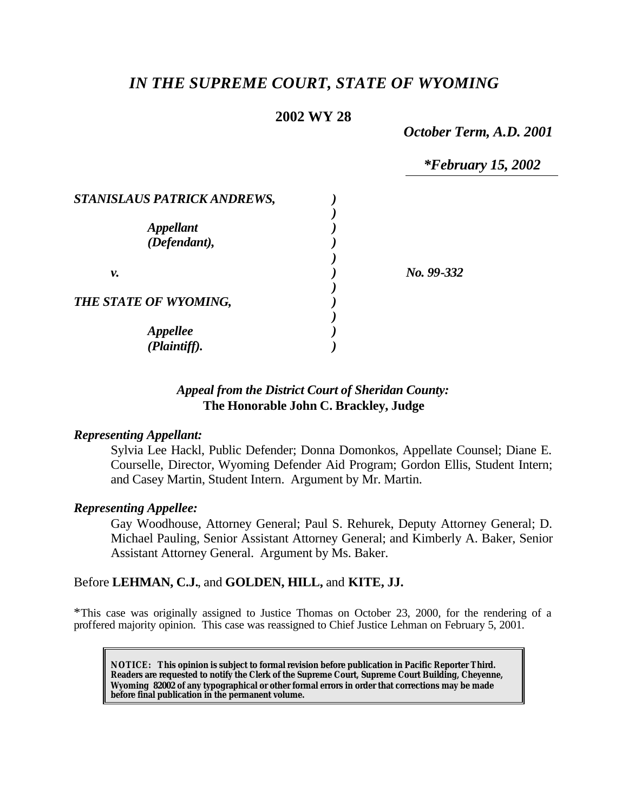# *IN THE SUPREME COURT, STATE OF WYOMING*

### **2002 WY 28**

*October Term, A.D. 2001*

*\*February 15, 2002*

| STANISLAUS PATRICK ANDREWS,      |              |
|----------------------------------|--------------|
| <b>Appellant</b><br>(Defendant), |              |
| ν.                               | $No. 99-332$ |
| THE STATE OF WYOMING,            |              |
| Appellee<br>(Plaintiff).         |              |

# *Appeal from the District Court of Sheridan County:* **The Honorable John C. Brackley, Judge**

#### *Representing Appellant:*

Sylvia Lee Hackl, Public Defender; Donna Domonkos, Appellate Counsel; Diane E. Courselle, Director, Wyoming Defender Aid Program; Gordon Ellis, Student Intern; and Casey Martin, Student Intern. Argument by Mr. Martin.

#### *Representing Appellee:*

Gay Woodhouse, Attorney General; Paul S. Rehurek, Deputy Attorney General; D. Michael Pauling, Senior Assistant Attorney General; and Kimberly A. Baker, Senior Assistant Attorney General. Argument by Ms. Baker.

### Before **LEHMAN, C.J.**, and **GOLDEN, HILL,** and **KITE, JJ.**

\*This case was originally assigned to Justice Thomas on October 23, 2000, for the rendering of a proffered majority opinion. This case was reassigned to Chief Justice Lehman on February 5, 2001.

**NOTICE:** *This opinion is subject to formal revision before publication in Pacific Reporter Third. Readers are requested to notify the Clerk of the Supreme Court, Supreme Court Building, Cheyenne, Wyoming 82002 of any typographical or other formal errors in order that corrections may be made before final publication in the permanent volume.*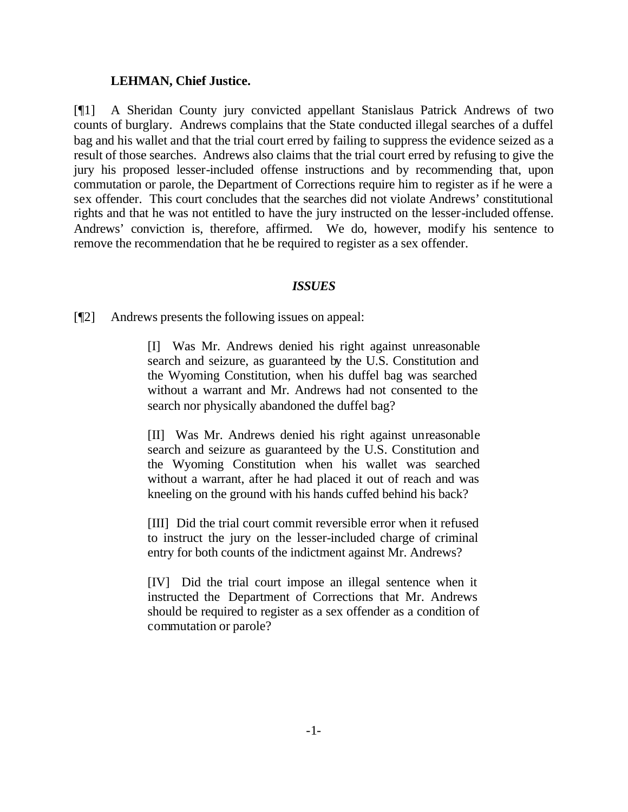#### **LEHMAN, Chief Justice.**

[¶1] A Sheridan County jury convicted appellant Stanislaus Patrick Andrews of two counts of burglary. Andrews complains that the State conducted illegal searches of a duffel bag and his wallet and that the trial court erred by failing to suppress the evidence seized as a result of those searches. Andrews also claims that the trial court erred by refusing to give the jury his proposed lesser-included offense instructions and by recommending that, upon commutation or parole, the Department of Corrections require him to register as if he were a sex offender. This court concludes that the searches did not violate Andrews' constitutional rights and that he was not entitled to have the jury instructed on the lesser-included offense. Andrews' conviction is, therefore, affirmed. We do, however, modify his sentence to remove the recommendation that he be required to register as a sex offender.

#### *ISSUES*

[¶2] Andrews presents the following issues on appeal:

[I] Was Mr. Andrews denied his right against unreasonable search and seizure, as guaranteed by the U.S. Constitution and the Wyoming Constitution, when his duffel bag was searched without a warrant and Mr. Andrews had not consented to the search nor physically abandoned the duffel bag?

[II] Was Mr. Andrews denied his right against unreasonable search and seizure as guaranteed by the U.S. Constitution and the Wyoming Constitution when his wallet was searched without a warrant, after he had placed it out of reach and was kneeling on the ground with his hands cuffed behind his back?

[III] Did the trial court commit reversible error when it refused to instruct the jury on the lesser-included charge of criminal entry for both counts of the indictment against Mr. Andrews?

[IV] Did the trial court impose an illegal sentence when it instructed the Department of Corrections that Mr. Andrews should be required to register as a sex offender as a condition of commutation or parole?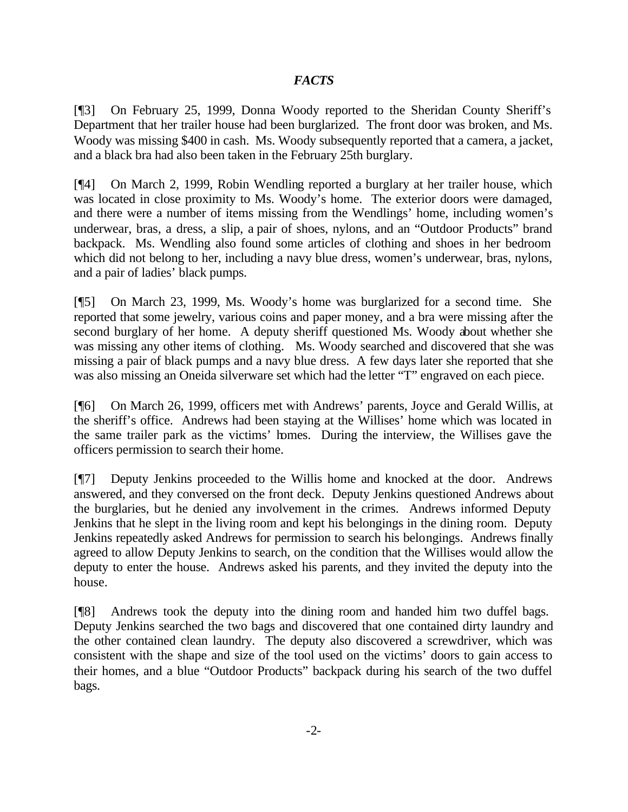### *FACTS*

[¶3] On February 25, 1999, Donna Woody reported to the Sheridan County Sheriff's Department that her trailer house had been burglarized. The front door was broken, and Ms. Woody was missing \$400 in cash. Ms. Woody subsequently reported that a camera, a jacket, and a black bra had also been taken in the February 25th burglary.

[¶4] On March 2, 1999, Robin Wendling reported a burglary at her trailer house, which was located in close proximity to Ms. Woody's home. The exterior doors were damaged, and there were a number of items missing from the Wendlings' home, including women's underwear, bras, a dress, a slip, a pair of shoes, nylons, and an "Outdoor Products" brand backpack. Ms. Wendling also found some articles of clothing and shoes in her bedroom which did not belong to her, including a navy blue dress, women's underwear, bras, nylons, and a pair of ladies' black pumps.

[¶5] On March 23, 1999, Ms. Woody's home was burglarized for a second time. She reported that some jewelry, various coins and paper money, and a bra were missing after the second burglary of her home. A deputy sheriff questioned Ms. Woody about whether she was missing any other items of clothing. Ms. Woody searched and discovered that she was missing a pair of black pumps and a navy blue dress. A few days later she reported that she was also missing an Oneida silverware set which had the letter "T" engraved on each piece.

[¶6] On March 26, 1999, officers met with Andrews' parents, Joyce and Gerald Willis, at the sheriff's office. Andrews had been staying at the Willises' home which was located in the same trailer park as the victims' homes. During the interview, the Willises gave the officers permission to search their home.

[¶7] Deputy Jenkins proceeded to the Willis home and knocked at the door. Andrews answered, and they conversed on the front deck. Deputy Jenkins questioned Andrews about the burglaries, but he denied any involvement in the crimes. Andrews informed Deputy Jenkins that he slept in the living room and kept his belongings in the dining room. Deputy Jenkins repeatedly asked Andrews for permission to search his belongings. Andrews finally agreed to allow Deputy Jenkins to search, on the condition that the Willises would allow the deputy to enter the house. Andrews asked his parents, and they invited the deputy into the house.

[¶8] Andrews took the deputy into the dining room and handed him two duffel bags. Deputy Jenkins searched the two bags and discovered that one contained dirty laundry and the other contained clean laundry. The deputy also discovered a screwdriver, which was consistent with the shape and size of the tool used on the victims' doors to gain access to their homes, and a blue "Outdoor Products" backpack during his search of the two duffel bags.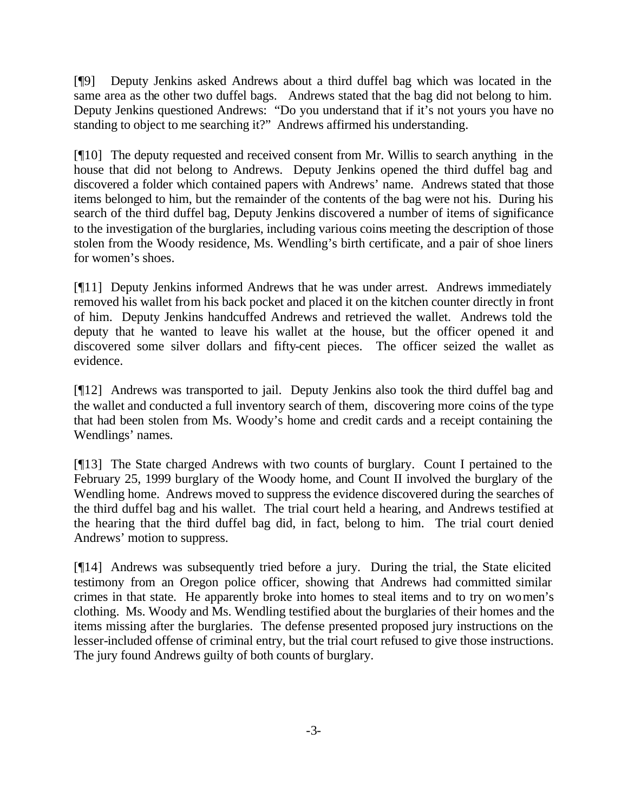[¶9] Deputy Jenkins asked Andrews about a third duffel bag which was located in the same area as the other two duffel bags. Andrews stated that the bag did not belong to him. Deputy Jenkins questioned Andrews: "Do you understand that if it's not yours you have no standing to object to me searching it?" Andrews affirmed his understanding.

[¶10] The deputy requested and received consent from Mr. Willis to search anything in the house that did not belong to Andrews. Deputy Jenkins opened the third duffel bag and discovered a folder which contained papers with Andrews' name. Andrews stated that those items belonged to him, but the remainder of the contents of the bag were not his. During his search of the third duffel bag, Deputy Jenkins discovered a number of items of significance to the investigation of the burglaries, including various coins meeting the description of those stolen from the Woody residence, Ms. Wendling's birth certificate, and a pair of shoe liners for women's shoes.

[¶11] Deputy Jenkins informed Andrews that he was under arrest. Andrews immediately removed his wallet from his back pocket and placed it on the kitchen counter directly in front of him. Deputy Jenkins handcuffed Andrews and retrieved the wallet. Andrews told the deputy that he wanted to leave his wallet at the house, but the officer opened it and discovered some silver dollars and fifty-cent pieces. The officer seized the wallet as evidence.

[¶12] Andrews was transported to jail. Deputy Jenkins also took the third duffel bag and the wallet and conducted a full inventory search of them, discovering more coins of the type that had been stolen from Ms. Woody's home and credit cards and a receipt containing the Wendlings' names.

[¶13] The State charged Andrews with two counts of burglary. Count I pertained to the February 25, 1999 burglary of the Woody home, and Count II involved the burglary of the Wendling home. Andrews moved to suppress the evidence discovered during the searches of the third duffel bag and his wallet. The trial court held a hearing, and Andrews testified at the hearing that the third duffel bag did, in fact, belong to him. The trial court denied Andrews' motion to suppress.

[¶14] Andrews was subsequently tried before a jury. During the trial, the State elicited testimony from an Oregon police officer, showing that Andrews had committed similar crimes in that state. He apparently broke into homes to steal items and to try on women's clothing. Ms. Woody and Ms. Wendling testified about the burglaries of their homes and the items missing after the burglaries. The defense presented proposed jury instructions on the lesser-included offense of criminal entry, but the trial court refused to give those instructions. The jury found Andrews guilty of both counts of burglary.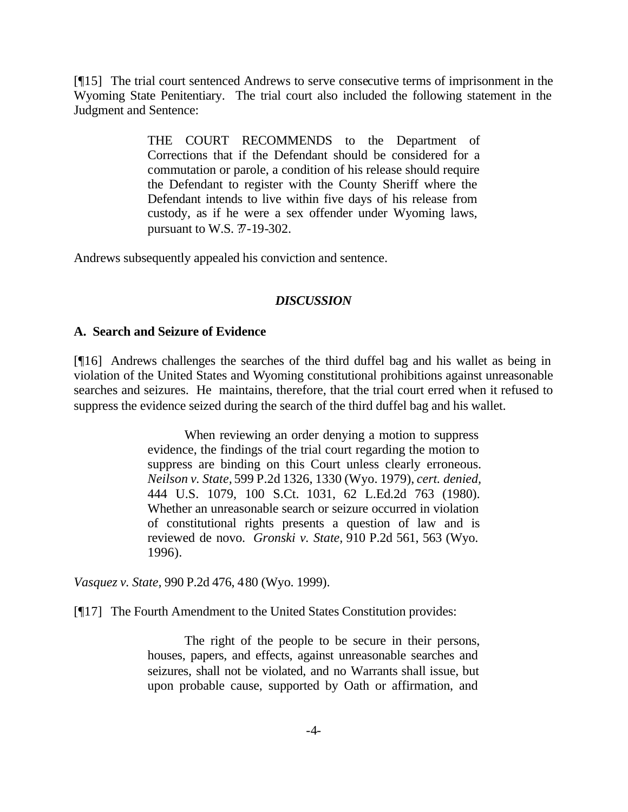[¶15] The trial court sentenced Andrews to serve consecutive terms of imprisonment in the Wyoming State Penitentiary. The trial court also included the following statement in the Judgment and Sentence:

> THE COURT RECOMMENDS to the Department of Corrections that if the Defendant should be considered for a commutation or parole, a condition of his release should require the Defendant to register with the County Sheriff where the Defendant intends to live within five days of his release from custody, as if he were a sex offender under Wyoming laws, pursuant to W.S.  $\frac{1}{2}$ -19-302.

Andrews subsequently appealed his conviction and sentence.

### *DISCUSSION*

#### **A. Search and Seizure of Evidence**

[¶16] Andrews challenges the searches of the third duffel bag and his wallet as being in violation of the United States and Wyoming constitutional prohibitions against unreasonable searches and seizures. He maintains, therefore, that the trial court erred when it refused to suppress the evidence seized during the search of the third duffel bag and his wallet.

> When reviewing an order denying a motion to suppress evidence, the findings of the trial court regarding the motion to suppress are binding on this Court unless clearly erroneous. *Neilson v. State,* 599 P.2d 1326, 1330 (Wyo. 1979), *cert. denied,* 444 U.S. 1079, 100 S.Ct. 1031, 62 L.Ed.2d 763 (1980). Whether an unreasonable search or seizure occurred in violation of constitutional rights presents a question of law and is reviewed de novo. *Gronski v. State,* 910 P.2d 561, 563 (Wyo. 1996).

*Vasquez v. State,* 990 P.2d 476, 480 (Wyo. 1999).

[¶17] The Fourth Amendment to the United States Constitution provides:

The right of the people to be secure in their persons, houses, papers, and effects, against unreasonable searches and seizures, shall not be violated, and no Warrants shall issue, but upon probable cause, supported by Oath or affirmation, and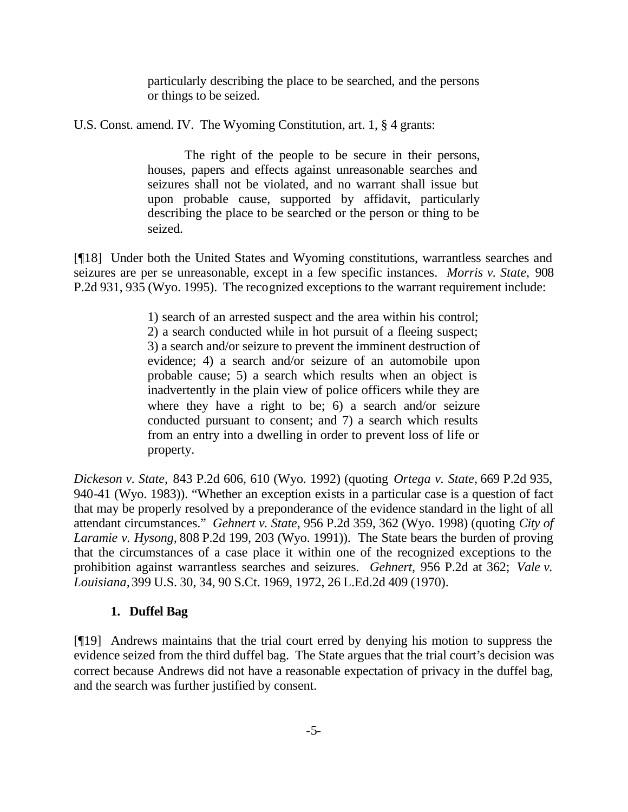particularly describing the place to be searched, and the persons or things to be seized.

U.S. Const. amend. IV. The Wyoming Constitution, art. 1, § 4 grants:

The right of the people to be secure in their persons, houses, papers and effects against unreasonable searches and seizures shall not be violated, and no warrant shall issue but upon probable cause, supported by affidavit, particularly describing the place to be searched or the person or thing to be seized.

[¶18] Under both the United States and Wyoming constitutions, warrantless searches and seizures are per se unreasonable, except in a few specific instances. *Morris v. State,* 908 P.2d 931, 935 (Wyo. 1995). The recognized exceptions to the warrant requirement include:

> 1) search of an arrested suspect and the area within his control; 2) a search conducted while in hot pursuit of a fleeing suspect; 3) a search and/or seizure to prevent the imminent destruction of evidence; 4) a search and/or seizure of an automobile upon probable cause; 5) a search which results when an object is inadvertently in the plain view of police officers while they are where they have a right to be; 6) a search and/or seizure conducted pursuant to consent; and 7) a search which results from an entry into a dwelling in order to prevent loss of life or property.

*Dickeson v. State,* 843 P.2d 606, 610 (Wyo. 1992) (quoting *Ortega v. State,* 669 P.2d 935, 940-41 (Wyo. 1983)). "Whether an exception exists in a particular case is a question of fact that may be properly resolved by a preponderance of the evidence standard in the light of all attendant circumstances." *Gehnert v. State,* 956 P.2d 359, 362 (Wyo. 1998) (quoting *City of Laramie v. Hysong,* 808 P.2d 199, 203 (Wyo. 1991)). The State bears the burden of proving that the circumstances of a case place it within one of the recognized exceptions to the prohibition against warrantless searches and seizures. *Gehnert,* 956 P.2d at 362; *Vale v. Louisiana,*399 U.S. 30, 34, 90 S.Ct. 1969, 1972, 26 L.Ed.2d 409 (1970).

# **1. Duffel Bag**

[¶19] Andrews maintains that the trial court erred by denying his motion to suppress the evidence seized from the third duffel bag. The State argues that the trial court's decision was correct because Andrews did not have a reasonable expectation of privacy in the duffel bag, and the search was further justified by consent.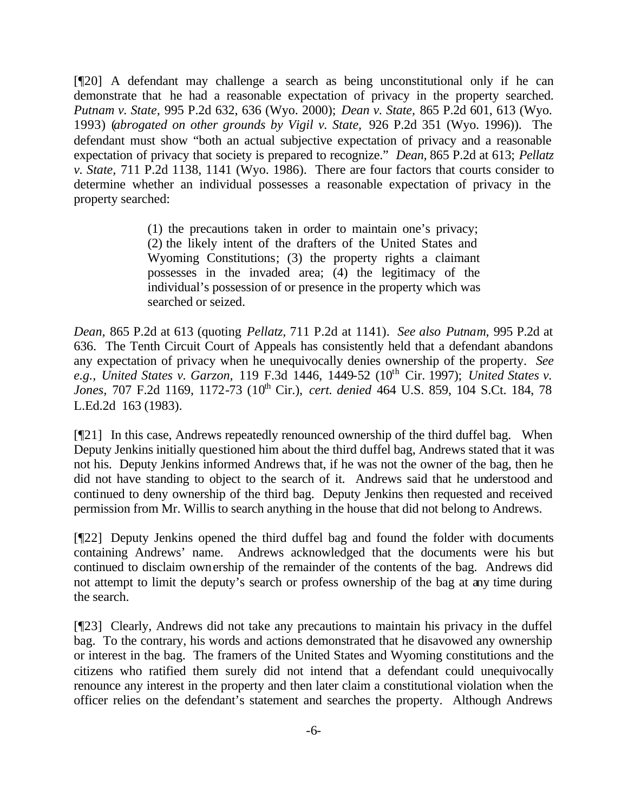[¶20] A defendant may challenge a search as being unconstitutional only if he can demonstrate that he had a reasonable expectation of privacy in the property searched. *Putnam v. State,* 995 P.2d 632, 636 (Wyo. 2000); *Dean v. State,* 865 P.2d 601, 613 (Wyo. 1993) (*abrogated on other grounds by Vigil v. State,* 926 P.2d 351 (Wyo. 1996)). The defendant must show "both an actual subjective expectation of privacy and a reasonable expectation of privacy that society is prepared to recognize." *Dean,* 865 P.2d at 613; *Pellatz v. State,* 711 P.2d 1138, 1141 (Wyo. 1986). There are four factors that courts consider to determine whether an individual possesses a reasonable expectation of privacy in the property searched:

> (1) the precautions taken in order to maintain one's privacy; (2) the likely intent of the drafters of the United States and Wyoming Constitutions; (3) the property rights a claimant possesses in the invaded area; (4) the legitimacy of the individual's possession of or presence in the property which was searched or seized.

*Dean,* 865 P.2d at 613 (quoting *Pellatz,* 711 P.2d at 1141). *See also Putnam,* 995 P.2d at 636. The Tenth Circuit Court of Appeals has consistently held that a defendant abandons any expectation of privacy when he unequivocally denies ownership of the property. *See e.g., United States v. Garzon, 119 F.3d 1446, 1449-52 (10<sup>th</sup> Cir. 1997); <i>United States v.* Jones, 707 F.2d 1169, 1172-73 (10<sup>th</sup> Cir.), *cert. denied* 464 U.S. 859, 104 S.Ct. 184, 78 L.Ed.2d 163 (1983).

[¶21] In this case, Andrews repeatedly renounced ownership of the third duffel bag. When Deputy Jenkins initially questioned him about the third duffel bag, Andrews stated that it was not his. Deputy Jenkins informed Andrews that, if he was not the owner of the bag, then he did not have standing to object to the search of it. Andrews said that he understood and continued to deny ownership of the third bag. Deputy Jenkins then requested and received permission from Mr. Willis to search anything in the house that did not belong to Andrews.

[¶22] Deputy Jenkins opened the third duffel bag and found the folder with documents containing Andrews' name. Andrews acknowledged that the documents were his but continued to disclaim ownership of the remainder of the contents of the bag. Andrews did not attempt to limit the deputy's search or profess ownership of the bag at any time during the search.

[¶23] Clearly, Andrews did not take any precautions to maintain his privacy in the duffel bag. To the contrary, his words and actions demonstrated that he disavowed any ownership or interest in the bag. The framers of the United States and Wyoming constitutions and the citizens who ratified them surely did not intend that a defendant could unequivocally renounce any interest in the property and then later claim a constitutional violation when the officer relies on the defendant's statement and searches the property. Although Andrews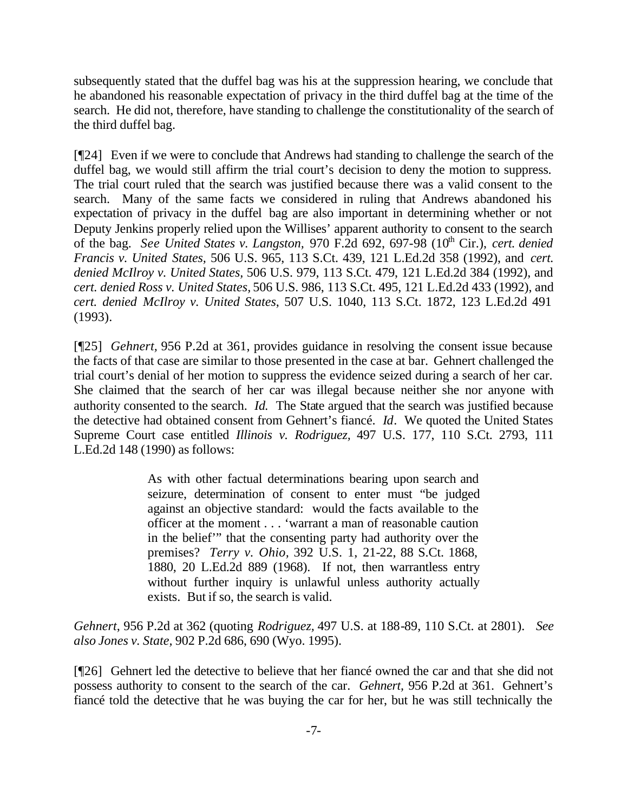subsequently stated that the duffel bag was his at the suppression hearing, we conclude that he abandoned his reasonable expectation of privacy in the third duffel bag at the time of the search. He did not, therefore, have standing to challenge the constitutionality of the search of the third duffel bag.

[¶24] Even if we were to conclude that Andrews had standing to challenge the search of the duffel bag, we would still affirm the trial court's decision to deny the motion to suppress. The trial court ruled that the search was justified because there was a valid consent to the search. Many of the same facts we considered in ruling that Andrews abandoned his expectation of privacy in the duffel bag are also important in determining whether or not Deputy Jenkins properly relied upon the Willises' apparent authority to consent to the search of the bag. *See United States v. Langston*, 970 F.2d 692, 697-98 (10<sup>th</sup> Cir.), *cert. denied Francis v. United States,* 506 U.S. 965, 113 S.Ct. 439, 121 L.Ed.2d 358 (1992), and *cert. denied McIlroy v. United States,* 506 U.S. 979, 113 S.Ct. 479, 121 L.Ed.2d 384 (1992), and *cert. denied Ross v. United States,* 506 U.S. 986, 113 S.Ct. 495, 121 L.Ed.2d 433 (1992), and *cert. denied McIlroy v. United States*, 507 U.S. 1040, 113 S.Ct. 1872, 123 L.Ed.2d 491 (1993).

[¶25] *Gehnert,* 956 P.2d at 361, provides guidance in resolving the consent issue because the facts of that case are similar to those presented in the case at bar. Gehnert challenged the trial court's denial of her motion to suppress the evidence seized during a search of her car. She claimed that the search of her car was illegal because neither she nor anyone with authority consented to the search. *Id.* The State argued that the search was justified because the detective had obtained consent from Gehnert's fiancé. *Id*. We quoted the United States Supreme Court case entitled *Illinois v. Rodriguez,* 497 U.S. 177, 110 S.Ct. 2793, 111 L.Ed.2d 148 (1990) as follows:

> As with other factual determinations bearing upon search and seizure, determination of consent to enter must "be judged against an objective standard: would the facts available to the officer at the moment . . . 'warrant a man of reasonable caution in the belief'" that the consenting party had authority over the premises? *Terry v. Ohio,* 392 U.S. 1, 21-22, 88 S.Ct. 1868, 1880, 20 L.Ed.2d 889 (1968). If not, then warrantless entry without further inquiry is unlawful unless authority actually exists. But if so, the search is valid.

*Gehnert*, 956 P.2d at 362 (quoting *Rodriguez,* 497 U.S. at 188-89, 110 S.Ct. at 2801). *See also Jones v. State,* 902 P.2d 686, 690 (Wyo. 1995).

[¶26] Gehnert led the detective to believe that her fiancé owned the car and that she did not possess authority to consent to the search of the car. *Gehnert,* 956 P.2d at 361. Gehnert's fiancé told the detective that he was buying the car for her, but he was still technically the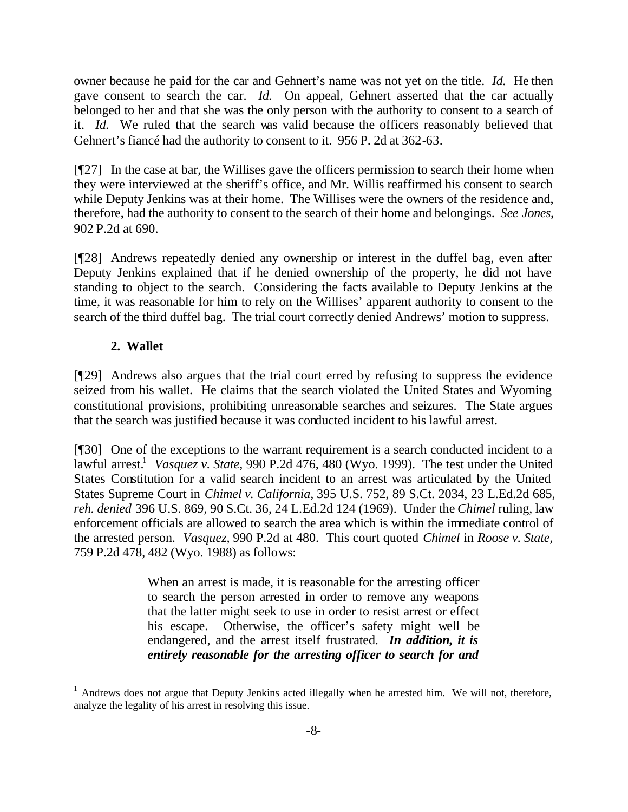owner because he paid for the car and Gehnert's name was not yet on the title. *Id.* He then gave consent to search the car. *Id.* On appeal, Gehnert asserted that the car actually belonged to her and that she was the only person with the authority to consent to a search of it. *Id.* We ruled that the search was valid because the officers reasonably believed that Gehnert's fiancé had the authority to consent to it. 956 P. 2d at 362-63.

[¶27] In the case at bar, the Willises gave the officers permission to search their home when they were interviewed at the sheriff's office, and Mr. Willis reaffirmed his consent to search while Deputy Jenkins was at their home. The Willises were the owners of the residence and, therefore, had the authority to consent to the search of their home and belongings. *See Jones,*  902 P.2d at 690.

[¶28] Andrews repeatedly denied any ownership or interest in the duffel bag, even after Deputy Jenkins explained that if he denied ownership of the property, he did not have standing to object to the search. Considering the facts available to Deputy Jenkins at the time, it was reasonable for him to rely on the Willises' apparent authority to consent to the search of the third duffel bag. The trial court correctly denied Andrews' motion to suppress.

# **2. Wallet**

l

[¶29] Andrews also argues that the trial court erred by refusing to suppress the evidence seized from his wallet. He claims that the search violated the United States and Wyoming constitutional provisions, prohibiting unreasonable searches and seizures. The State argues that the search was justified because it was conducted incident to his lawful arrest.

[¶30] One of the exceptions to the warrant requirement is a search conducted incident to a lawful arrest.<sup>1</sup> Vasquez v. State, 990 P.2d 476, 480 (Wyo. 1999). The test under the United States Constitution for a valid search incident to an arrest was articulated by the United States Supreme Court in *Chimel v. California,* 395 U.S. 752, 89 S.Ct. 2034, 23 L.Ed.2d 685, *reh. denied* 396 U.S. 869, 90 S.Ct. 36, 24 L.Ed.2d 124 (1969). Under the *Chimel* ruling*,* law enforcement officials are allowed to search the area which is within the immediate control of the arrested person. *Vasquez,* 990 P.2d at 480. This court quoted *Chimel* in *Roose v. State,*  759 P.2d 478, 482 (Wyo. 1988) as follows:

> When an arrest is made, it is reasonable for the arresting officer to search the person arrested in order to remove any weapons that the latter might seek to use in order to resist arrest or effect his escape. Otherwise, the officer's safety might well be endangered, and the arrest itself frustrated. *In addition, it is entirely reasonable for the arresting officer to search for and*

<sup>1</sup> Andrews does not argue that Deputy Jenkins acted illegally when he arrested him. We will not, therefore, analyze the legality of his arrest in resolving this issue.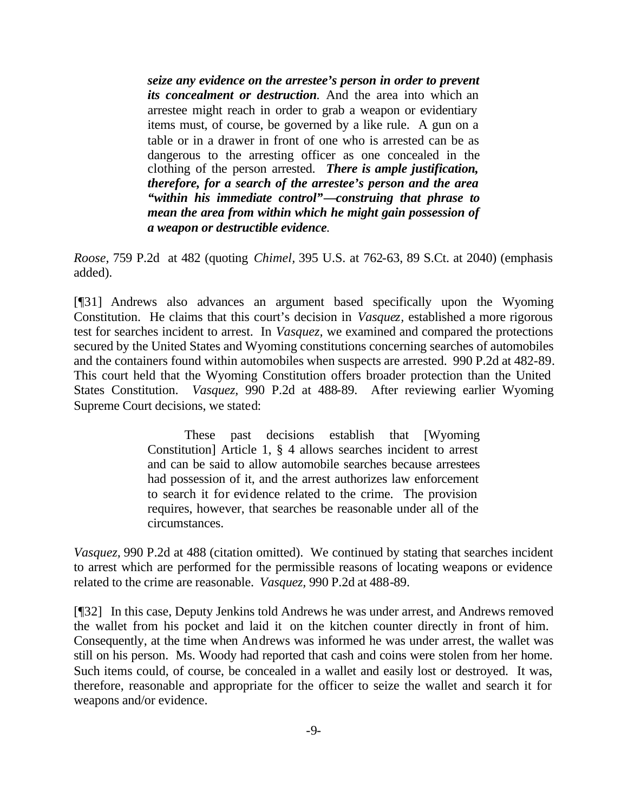*seize any evidence on the arrestee's person in order to prevent its concealment or destruction.* And the area into which an arrestee might reach in order to grab a weapon or evidentiary items must, of course, be governed by a like rule. A gun on a table or in a drawer in front of one who is arrested can be as dangerous to the arresting officer as one concealed in the clothing of the person arrested. *There is ample justification, therefore, for a search of the arrestee's person and the area "within his immediate control"—construing that phrase to mean the area from within which he might gain possession of a weapon or destructible evidence.*

*Roose,* 759 P.2d at 482 (quoting *Chimel,* 395 U.S. at 762-63, 89 S.Ct. at 2040) (emphasis added).

[¶31] Andrews also advances an argument based specifically upon the Wyoming Constitution. He claims that this court's decision in *Vasquez,* established a more rigorous test for searches incident to arrest. In *Vasquez,* we examined and compared the protections secured by the United States and Wyoming constitutions concerning searches of automobiles and the containers found within automobiles when suspects are arrested. 990 P.2d at 482-89. This court held that the Wyoming Constitution offers broader protection than the United States Constitution. *Vasquez,* 990 P.2d at 488-89. After reviewing earlier Wyoming Supreme Court decisions, we stated:

> These past decisions establish that [Wyoming Constitution] Article 1, § 4 allows searches incident to arrest and can be said to allow automobile searches because arrestees had possession of it, and the arrest authorizes law enforcement to search it for evidence related to the crime. The provision requires, however, that searches be reasonable under all of the circumstances.

*Vasquez*, 990 P.2d at 488 (citation omitted). We continued by stating that searches incident to arrest which are performed for the permissible reasons of locating weapons or evidence related to the crime are reasonable. *Vasquez,* 990 P.2d at 488-89.

[¶32] In this case, Deputy Jenkins told Andrews he was under arrest, and Andrews removed the wallet from his pocket and laid it on the kitchen counter directly in front of him. Consequently, at the time when Andrews was informed he was under arrest, the wallet was still on his person. Ms. Woody had reported that cash and coins were stolen from her home. Such items could, of course, be concealed in a wallet and easily lost or destroyed. It was, therefore, reasonable and appropriate for the officer to seize the wallet and search it for weapons and/or evidence.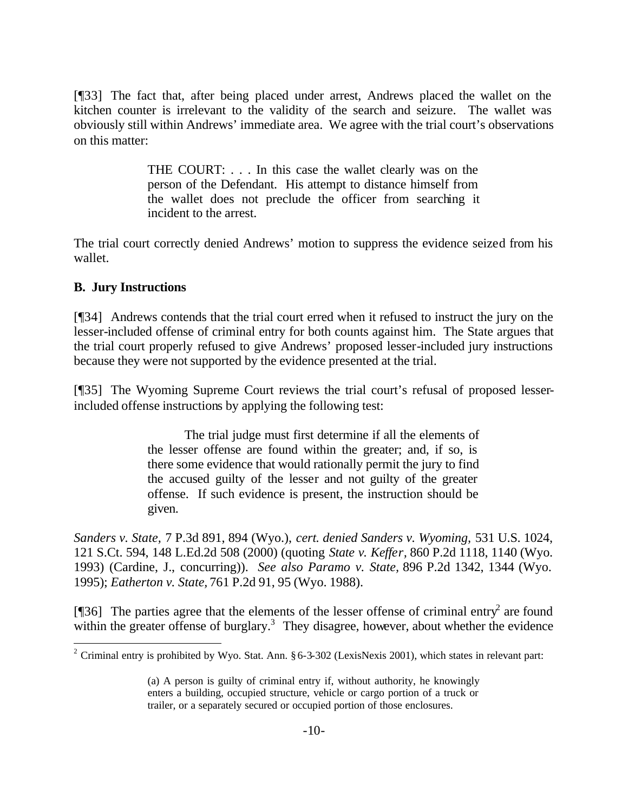[¶33] The fact that, after being placed under arrest, Andrews placed the wallet on the kitchen counter is irrelevant to the validity of the search and seizure. The wallet was obviously still within Andrews' immediate area. We agree with the trial court's observations on this matter:

> THE COURT: . . . In this case the wallet clearly was on the person of the Defendant. His attempt to distance himself from the wallet does not preclude the officer from searching it incident to the arrest.

The trial court correctly denied Andrews' motion to suppress the evidence seized from his wallet.

### **B. Jury Instructions**

l

[¶34] Andrews contends that the trial court erred when it refused to instruct the jury on the lesser-included offense of criminal entry for both counts against him. The State argues that the trial court properly refused to give Andrews' proposed lesser-included jury instructions because they were not supported by the evidence presented at the trial.

[¶35] The Wyoming Supreme Court reviews the trial court's refusal of proposed lesserincluded offense instructions by applying the following test:

> The trial judge must first determine if all the elements of the lesser offense are found within the greater; and, if so, is there some evidence that would rationally permit the jury to find the accused guilty of the lesser and not guilty of the greater offense. If such evidence is present, the instruction should be given.

*Sanders v. State,* 7 P.3d 891, 894 (Wyo.), *cert. denied Sanders v. Wyoming,* 531 U.S. 1024, 121 S.Ct. 594, 148 L.Ed.2d 508 (2000) (quoting *State v. Keffer,* 860 P.2d 1118, 1140 (Wyo. 1993) (Cardine, J., concurring)). *See also Paramo v. State,* 896 P.2d 1342, 1344 (Wyo. 1995); *Eatherton v. State,* 761 P.2d 91, 95 (Wyo. 1988).

[ $[$ ]36] The parties agree that the elements of the lesser offense of criminal entry<sup>2</sup> are found within the greater offense of burglary.<sup>3</sup> They disagree, however, about whether the evidence

<sup>&</sup>lt;sup>2</sup> Criminal entry is prohibited by Wyo. Stat. Ann.  $\S 6$ -3-302 (LexisNexis 2001), which states in relevant part:

<sup>(</sup>a) A person is guilty of criminal entry if, without authority, he knowingly enters a building, occupied structure, vehicle or cargo portion of a truck or trailer, or a separately secured or occupied portion of those enclosures.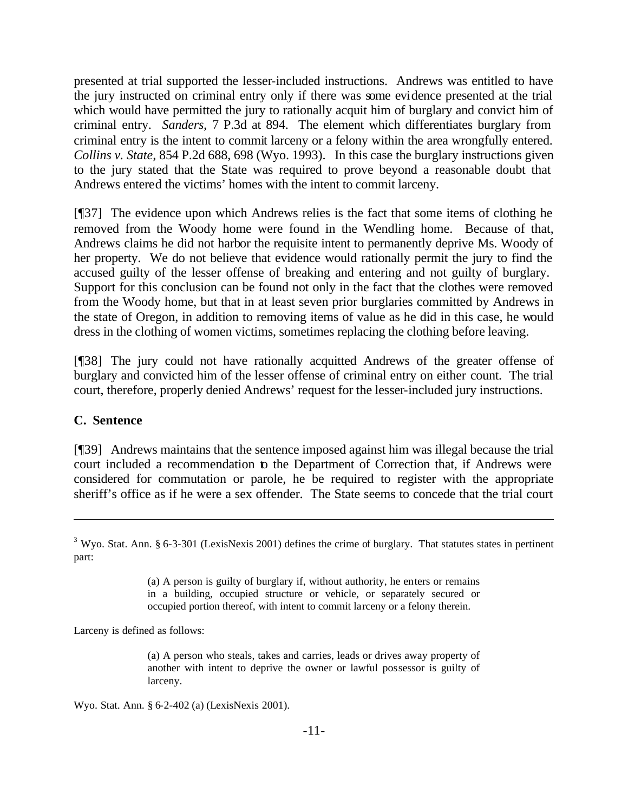presented at trial supported the lesser-included instructions. Andrews was entitled to have the jury instructed on criminal entry only if there was some evidence presented at the trial which would have permitted the jury to rationally acquit him of burglary and convict him of criminal entry. *Sanders,* 7 P.3d at 894. The element which differentiates burglary from criminal entry is the intent to commit larceny or a felony within the area wrongfully entered. *Collins v. State,* 854 P.2d 688, 698 (Wyo. 1993). In this case the burglary instructions given to the jury stated that the State was required to prove beyond a reasonable doubt that Andrews entered the victims' homes with the intent to commit larceny.

[¶37] The evidence upon which Andrews relies is the fact that some items of clothing he removed from the Woody home were found in the Wendling home. Because of that, Andrews claims he did not harbor the requisite intent to permanently deprive Ms. Woody of her property. We do not believe that evidence would rationally permit the jury to find the accused guilty of the lesser offense of breaking and entering and not guilty of burglary. Support for this conclusion can be found not only in the fact that the clothes were removed from the Woody home, but that in at least seven prior burglaries committed by Andrews in the state of Oregon, in addition to removing items of value as he did in this case, he would dress in the clothing of women victims, sometimes replacing the clothing before leaving.

[¶38] The jury could not have rationally acquitted Andrews of the greater offense of burglary and convicted him of the lesser offense of criminal entry on either count. The trial court, therefore, properly denied Andrews' request for the lesser-included jury instructions.

### **C. Sentence**

l

[¶39] Andrews maintains that the sentence imposed against him was illegal because the trial court included a recommendation to the Department of Correction that, if Andrews were considered for commutation or parole, he be required to register with the appropriate sheriff's office as if he were a sex offender. The State seems to concede that the trial court

(a) A person is guilty of burglary if, without authority, he enters or remains in a building, occupied structure or vehicle, or separately secured or occupied portion thereof, with intent to commit larceny or a felony therein.

Larceny is defined as follows:

(a) A person who steals, takes and carries, leads or drives away property of another with intent to deprive the owner or lawful possessor is guilty of larceny.

Wyo. Stat. Ann. § 6-2-402 (a) (LexisNexis 2001).

 $3$  Wyo. Stat. Ann. § 6-3-301 (LexisNexis 2001) defines the crime of burglary. That statutes states in pertinent part: